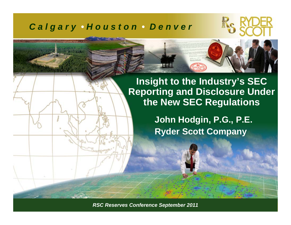#### *C a l g a r y • H o u s t o n • D e n v e r*



**Insight to the Industry's SEC Reporting and Disclosure Under the New SEC Regulations**

> **John Hodgin, P.G., P.E. Ryder Scott Company**

*RSC Reserves Conference September 2011 ©Ryder Scott Company, L.P. RSC Reserves Conference September 2011*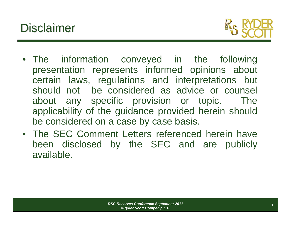# **Disclaimer**



- The information conveyed in the following presentation represents informed opinions about certain laws, regulations and interpretations but should not be considered as advice or counsel about any specific provision or topic. The applicability of the guidance provided herein should be considered on a case by case basis.
- The SEC Comment Letters referenced herein have been disclosed by the SEC and are publicly available.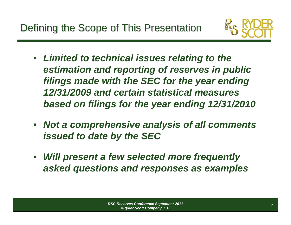

- $\bullet$  *Limited to technical issues relating to the estimation and reporting of reserves in public filings made with the SEC for the year ending 12/31/2009 and certain statistical measures based on filings for the year ending 12/31/2010*
- *Not a comprehensive analysis of all comments issued to date by the SEC*
- $\bullet$  *Will present a few selected more frequently asked questions and responses as examples*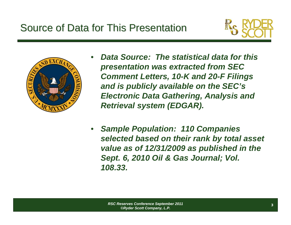## Source of Data for This Presentation

•





- *Data Source: The statistical data for this presentation was extracted from SEC Comment Letters, 10-K and 20-F Filings and is publicly available on the SEC's Electronic Data Gathering, Analysis and Retrieval system (EDGAR).*
- • *Sample Population: 110 Companies selected based on their rank by total asset value as of 12/31/2009 as published in the Sept. 6, 2010 Oil & Gas Journal; Vol. 108.33.*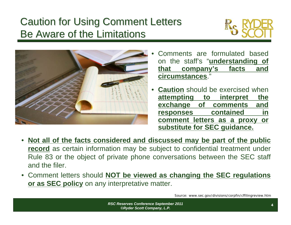# **Caution for Using Comment Letters** Be Aware of the Limitations





- • Comments are formulated based on the staff's "**understanding of that company's facts and circumstances**."
- • **Caution** should be exercised when **attempting to interpret the exchange of comments and responses contained in comment letters as a proxy or substitute for SEC guidance.**
- •**Not all of the facts considered and discussed may be part of the public record** as certain information may be subject to confidential treatment under Rule 83 or the object of private phone conversations between the SEC staff and the filer.
- Comment letters should **NOT be viewed as changing the SEC regulations or as SEC policy** on any interpretative matter.

Source: www.sec.gov/divisions/corpfin/cffilingreview.htm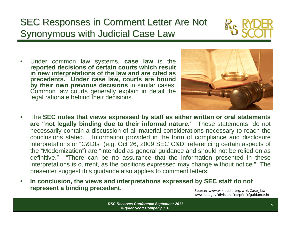### **SEC Responses in Comment Letter Are Not** Synonymous with Judicial Case Law

• Under common law systems, **case law** is the **reported decisions of certain courts which result in new interpretations of the law and are cited as precedents. Under case law, courts are bound by their own previous decisions** in similar cases. Common law courts generally explain in detail the legal rationale behind their decisions.



- • The **SEC notes that views expressed by staff as either written or oral statements are "not legally binding due to their informal nature."** These statements "do not necessarily contain a discussion of all material considerations necessary to reach the conclusions stated." Information provided in the form of compliance and disclosure interpretations or "C&DIs" (e.g. Oct 26, 2009 SEC C&DI referencing certain aspects of the "Modernization") are "intended as general guidance and should not be relied on as definitive." "There can be no assurance that the information presented in these interpretations is current, as the positions expressed may change without notice." The presenter suggest this guidance also applies to comment letters.
- • **In conclusion, the views and interpretations expressed by SEC staff do not represent a binding precedent.**

Source: www.wikipedia.org/wiki/Case\_law www.sec.gov/divisions/corpfin/cfguidance.htm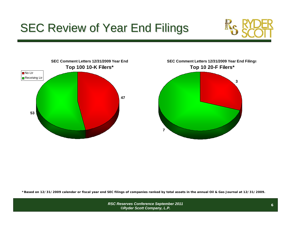# **SEC Review of Year End Filings**







**\*Based on 12/31/2009 calendar or fiscal year end SEC filings of companies ranked by total assets in the annual Oil & Gas Journal at 12/31/2009.**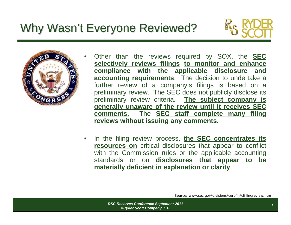# Why Wasn't Everyone Reviewed?





- Other than the reviews required by SOX, the **SEC selectively reviews filings to monitor and enhance compliance with the applicable disclosure and accounting requirements**. The decision to undertake a further review of a company's filings is based on a preliminary review. The SEC does not publicly disclose its preliminary review criteria. **The subject company is generally unaware of the review until it receives SEC comments.** The **SEC staff complete many filing reviews without issuing any comments.**
- • In the filing review process, **the SEC concentrates its resources on** critical disclosures that appear to conflict with the Commission rules or the applicable accounting standards or on **disclosures that appear to be materially deficient in explanation or clarity**.

Source: www.sec.gov/divisions/corpfin/cffilingreview.htm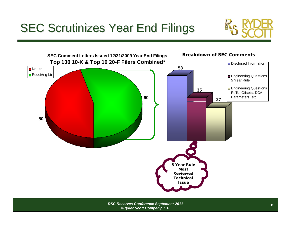# **SEC Scrutinizes Year End Filings**

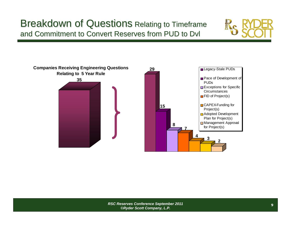#### Breakdown of Questions Relating to Timeframe and Commitment to Convert Reserves from PUD to Dvl



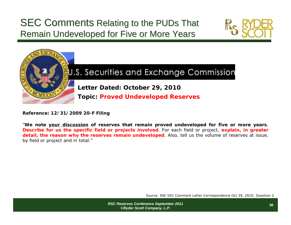#### SEC Comments Relating to the PUDs That Remain Undeveloped for Five or More Years





#### U.S. Securities and Exchange Commission

**Letter Dated: October 29, 2010**

**Topic: Proved Undeveloped Reserves**

**Reference: 12/31/2009 20-F Filing**

"**We note your discussion of reserves that remain proved undeveloped for five or more years**. **Describe for us the specific field or projects involved**. For each field or project, **explain, in greater detail, the reason why the reserves remain undeveloped**. Also, tell us the volume of reserves at issue, by field or project and in total."

Source: ENI SEC Comment Letter Correspondence Oct 29, 2010; Question 2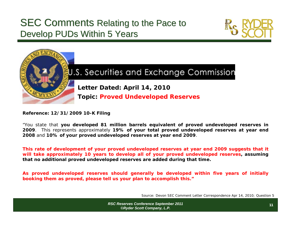#### SEC Comments Relating to the Pace to Develop PUDs Within 5 Years





#### U.S. Securities and Exchange Commission

**Letter Dated: April 14, 2010**

**Topic: Proved Undeveloped Reserves**

**Reference: 12/31/2009 10-K Filing**

"You state that **you developed 81 million barrels equivalent of proved undeveloped reserves in 2009**. This represents approximately **19% of your total proved undeveloped reserves at year end 2008** and **10% of your proved undeveloped reserves at year end 2009**.

**This rate of development of your proved undeveloped reserves at year end 2009 suggests that it will take approximately 10 years to develop all of your proved undeveloped reserves, assuming that no additional proved undeveloped reserves are added during that time.**

**As proved undeveloped reserves should generally be developed within five years of initially booking them as proved, please tell us your plan to accomplish this."**

Source: Devon SEC Comment Letter Correspondence Apr 14, 2010; Question 5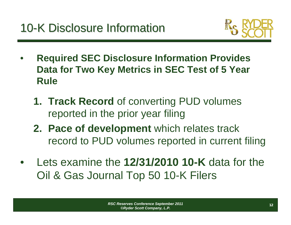

- $\bullet$  **Required SEC Disclosure Information Provides Data for Two Key Metrics in SEC Test of 5 Year Rule**
	- **1. Track Record** of converting PUD volumes reported in the prior year filing
	- **2. Pace of development** which relates track record to PUD volumes reported in current filing
- • Lets examine the **12/31/2010 10-K** data for the Oil & Gas Journal Top 50 10-K Filers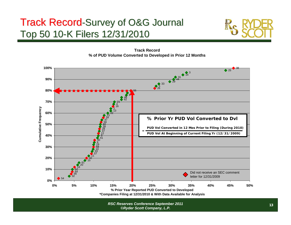### Track Record-Survey of O&G Journal Top 50 10-K Filers 12/31/2010





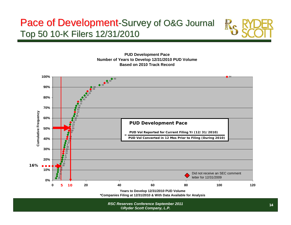#### Pace of Development-Survey of O&G Journal Top 50 10-K Filers 12/31/2010



**PUD Development Pace Number of Years to Develop 12/31/2010 PUD Volume Based on 2010 Track Record**



**\*Companies Filing at 12/31/2010 & With Data Available for Analysis**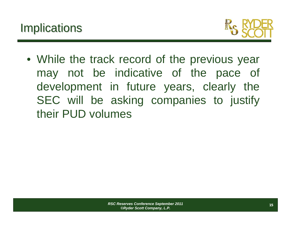

• While the track record of the previous year may not be indicative of the pace of development in future years, clearly the SEC will be asking companies to justify their PUD volumes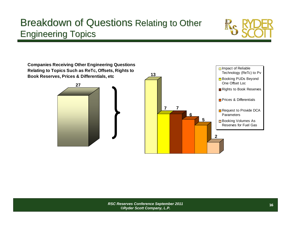#### Breakdown of Questions Relating to Other **Engineering Topics**



**Companies Receiving Other Engineering Questions Relating to Topics Such as ReTc, Offsets, Rights to Book Reserves, Prices & Differentials, etc**



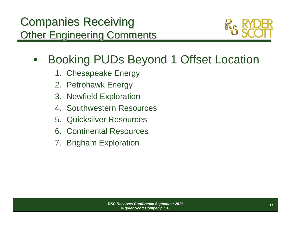

#### $\bullet$ Booking PUDs Beyond 1 Offset Location

- 1. Chesapeake Energy
- 2. Petrohawk Energy
- 3. Newfield Exploration
- 4. Southwestern Resources
- 5. Quicksilver Resources
- 6. Continental Resources
- 7. Brigham Exploration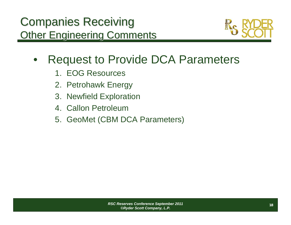

- $\bullet$  Request to Provide DCA Parameters
	- 1. EOG Resources
	- 2. Petrohawk Energy
	- 3. Newfield Exploration
	- 4. Callon Petroleum
	- 5. GeoMet (CBM DCA Parameters)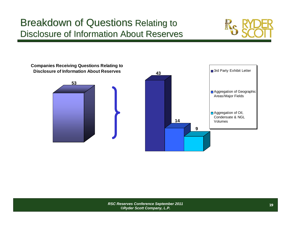#### **Breakdown of Questions Relating to** Disclosure of Information About Reserves



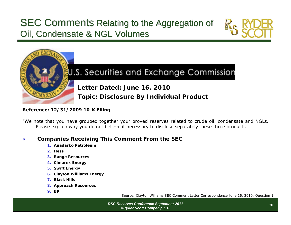#### SEC Comments Relating to the Aggregation of Oil, Condensate & NGL Volumes





#### U.S. Securities and Exchange Commission

**Letter Dated: June 16, 2010 Topic: Disclosure By Individual Product**

#### **Reference: 12/31/2009 10-K Filing**

"We note that you have grouped together your proved reserves related to crude oil, condensate and NGLs. Please explain why you do not believe it necessary to disclose separately these three products."

#### ¾**Companies Receiving This Comment From the SEC**

- **1. Anadarko Petroleum**
- **2. Hess**
- **3. Range Resources**
- **4. Cimarex Energy**
- **5. Swift Energy**
- **6. Clayton Williams Energy**
- **7. Black Hills**
- **8. Approach Resources**
- **9. BP**

Source: Clayton Williams SEC Comment Letter Correspondence June 16, 2010; Question 1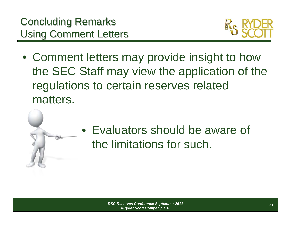

• Comment letters may provide insight to how the SEC Staff may view the application of the regulations to certain reserves related matters.



• Evaluators should be aware of the limitations for such.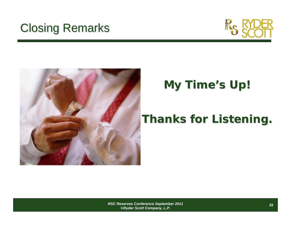# **Closing Remarks**





# **My Time My Time's Up!**

# **Thanks for Listening. Thanks for Listening.**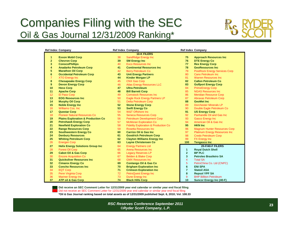## Companies Filing with the SEC Oil & Gas Journal 12/31/2009 Ranking\*



|                | <b>Ref Index Company</b>                      |    | <b>Ref Index Company</b>                        |                | <b>Ref Index Company</b>             |
|----------------|-----------------------------------------------|----|-------------------------------------------------|----------------|--------------------------------------|
|                |                                               |    | <b>10-K FILERS</b>                              |                |                                      |
| 1              | <b>Exxon Mobil Corp</b>                       | 38 | SandRidge Energy Inc                            | 75             | <b>Approach Resources Inc</b>        |
| $\mathbf{2}$   | <b>Chevron Corp</b>                           | 39 | <b>SM Energy Inc</b>                            | 76             | <b>DTE Energy Co</b>                 |
| 3              | <b>ConocoPhillips</b>                         | 40 | <b>Exco Resources Inc.</b>                      | 77             | <b>Rex Energy Corp</b>               |
| 4              | <b>Anadarko Petroleum Corp</b>                | 41 | <b>Continental Resources Inc.</b>               | 78             | <b>GeoResources Inc</b>              |
| 5              | <b>Marathon Oil Corp</b>                      | 42 | <b>Berry Petroleum Co</b>                       | 79             | <b>PostRock Energy Services Corp</b> |
| 6              | <b>Occidental Petroleum Corp</b>              | 43 | <b>Unit Energy Partners</b>                     | 80             | <b>Cano Petroleum Inc.</b>           |
| $\overline{7}$ | <b>XTO Energy Inc</b>                         | 44 | <b>Kinder Morgan LP</b>                         | 81             | <b>Warren Resources Inc.</b>         |
| 8              | <b>Chesapeake Energy Corp</b>                 | 45 | <b>CNX Gas Corp</b>                             | 82             | <b>Callon Petroleum Co</b>           |
| 9              | <b>Devon Energy Corp</b>                      | 46 | <b>Atlas Energy Resources LLC</b>               | 83             | <b>Gulfport Energy Corp</b>          |
| 10             | <b>Hess Corp</b>                              | 47 | <b>Ultra Petroleum</b>                          | 84             | <b>PrimeEnergy Corp</b>              |
| 11             | <b>Apache Corp</b>                            | 48 | <b>Bill Barrett Corp</b>                        | 85             | <b>NGAS Resources Inc.</b>           |
| 12             | El Paso Corp                                  | 49 | <b>Comstock Resources Inc.</b>                  | 86             | <b>Meridian Resource Corp</b>        |
| 13             | <b>EOG Resources Inc.</b>                     | 50 | Eagle Rock Energy Partners LP                   | 87             | <b>Abraxas Petroleum Corp</b>        |
| 14             | <b>Murphy Oil Corp</b>                        | 51 | <b>Delta Petroleum Corp</b>                     | 88             | <b>GeoMet Inc.</b>                   |
| 15             | <b>Noble Energy Inc</b>                       | 52 | <b>Stone Energy Corp</b>                        | 89             | <b>Dorchester Minerals LP</b>        |
| 16             | <b>Williams Cos. Inc.</b>                     | 53 | <b>Swift Energy Co</b>                          | 90             | Double Eagle Petroleum Co            |
| 17             | <b>Questar Corp</b>                           | 54 | <b>W&amp;T Offshore Inc.</b>                    | 91             | <b>US Energy Corp</b>                |
| 18             | <b>Pioneer Natural Resources Co</b>           | 55 | <b>Seneca Resources Corp</b>                    | 92             | Panhandle Oil and Gas Inc            |
| 19             | <b>Plains Exploration &amp; Production Co</b> | 56 | <b>Petroleum Development Corp</b>               | 93             | <b>Gasco Energy Inc</b>              |
| 20             | <b>Petrohawk Energy Corp</b>                  | 57 | <b>McMoran Exploration Co</b>                   | 94             | American Oil & Gas Inc               |
| 21             | <b>Newfield Exploration Co</b>                | 58 | <b>Fidelity Exploration &amp; Production Co</b> | 95             | <b>HKN Inc</b>                       |
| 22             | <b>Range Resources Corp</b>                   | 59 | Rosetta Resources Inc                           | 96             | <b>Magnum Hunter Resources Corp</b>  |
| 23             | <b>Southwestern Energy Co</b>                 | 60 | <b>Carrizo Oil &amp; Gas Inc.</b>               | 97             | Platinum Energy Resources Inc        |
| 24             | <b>Denbury Resources</b>                      | 61 | <b>Goodrich Petroleum Corp</b>                  | 98             | <b>Credo Petroleum Corp</b>          |
| 25             | <b>Whiting Petroleum Corp</b>                 | 62 | <b>Clayton Williams Energy Inc</b>              | 99             | <b>FX Energy Inc</b>                 |
| 26             | <b>Energen Corp</b>                           | 63 | <b>Layne Christensen Co</b>                     | 100            | <b>Tengasco Inc</b>                  |
| 27             | <b>Helix Energy Solutions Group Inc</b>       | 64 | <b>Energy Partners Ltd</b>                      |                | <b>20-F/40-F FILERS</b>              |
| 28             | <b>Forest Oil Corp</b>                        | 65 | Arena Resources Inc                             | $\mathbf{1}$   | <b>Royal Dutch Shell</b>             |
| 29             | <b>Cabot Oil &amp; Gas Corp</b>               | 66 | <b>Legacy Reserves LP</b>                       | $\overline{2}$ | <b>BP PLC</b>                        |
| 30             | <b>Encore Acquisition Co</b>                  | 67 | <b>Belden &amp; Blake Corp</b>                  | $\mathbf{3}$   | <b>Petroleo Brasileiro SA</b>        |
| 31             | <b>Quicksilver Resources Inc.</b>             | 68 | <b>GMX Resources Inc.</b>                       | $\overline{4}$ | <b>Total SA</b>                      |
| 32             | <b>Cimarex Energy Co</b>                      | 69 | <b>Contango Oil &amp; Gas Co</b>                | 5              | PetroChina Co. Ltd (CNPC)            |
| 33             | <b>Concho Resources Inc.</b>                  | 70 | <b>Brigham Exploration Inc.</b>                 | 6              | <b>ENI SPA</b>                       |
| 34             | <b>EQT Corp</b>                               | 71 | <b>Crimson Exploration Inc.</b>                 | $\overline{7}$ | <b>Statoil ASA</b>                   |
| 35             | Penn Virginia Corp                            | 72 | <b>PetroQuest Energy Inc</b>                    | 8              | <b>Repsol YPF SA</b>                 |
| 36             | <b>Mariner Energy Inc</b>                     | 73 | Dune Energy Inc                                 | 9              | <b>BHP Billiton Petroleum</b>        |
| 37             | <b>ATP oil &amp; Gas Corp</b>                 | 74 | <b>Black Hills Corp</b>                         | 10             | <b>Suncor Energy Inc (40-F)</b>      |

**Did receive an SEC Comment Letter for 12/31/2009 year end calendar or similar year end fiscal filing** Did not receive an SEC Comment Letter for 12/31/2009 year end calendar or similar year end fiscal filing **\*Oil & Gas Journal ranking based on total assets as of 12/31/2009 published Sept. 6, 2010; Vol. 108.33**